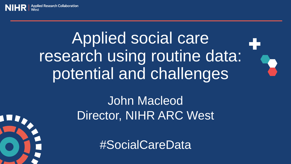# Applied social care research using routine data: potential and challenges

### John Macleod Director, NIHR ARC West

#SocialCareData

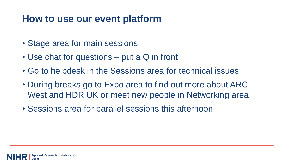#### **How to use our event platform**

- Stage area for main sessions
- Use chat for questions put a Q in front
- Go to helpdesk in the Sessions area for technical issues
- During breaks go to Expo area to find out more about ARC West and HDR UK or meet new people in Networking area
- Sessions area for parallel sessions this afternoon

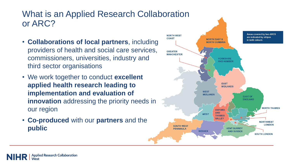#### What is an Applied Research Collaboration or ARC?

- **Collaborations of local partners**, including providers of health and social care services, commissioners, universities, industry and third sector organisations
- We work together to conduct **excellent applied health research leading to implementation and evaluation of innovation** addressing the priority needs in our region
- **Co-produced** with our **partners** and the **public**

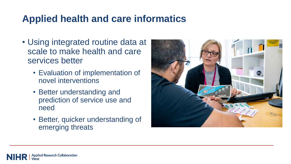#### **Applied health and care informatics**

- Using integrated routine data at scale to make health and care services better
	- Evaluation of implementation of novel interventions
	- Better understanding and prediction of service use and need
	- Better, quicker understanding of emerging threats

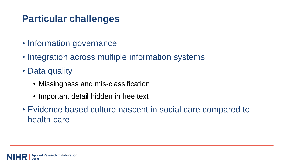#### **Particular challenges**

- Information governance
- Integration across multiple information systems
- Data quality
	- Missingness and mis-classification
	- Important detail hidden in free text
- Evidence based culture nascent in social care compared to health care

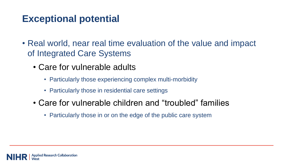#### **Exceptional potential**

- Real world, near real time evaluation of the value and impact of Integrated Care Systems
	- Care for vulnerable adults
		- Particularly those experiencing complex multi-morbidity
		- Particularly those in residential care settings
	- Care for vulnerable children and "troubled" families
		- Particularly those in or on the edge of the public care system

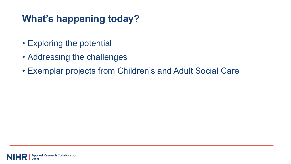#### **What's happening today?**

- Exploring the potential
- Addressing the challenges
- Exemplar projects from Children's and Adult Social Care

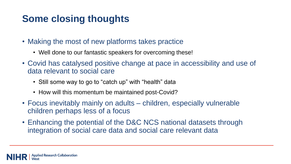#### **Some closing thoughts**

- Making the most of new platforms takes practice
	- Well done to our fantastic speakers for overcoming these!
- Covid has catalysed positive change at pace in accessibility and use of data relevant to social care
	- Still some way to go to "catch up" with "health" data
	- How will this momentum be maintained post-Covid?
- Focus inevitably mainly on adults children, especially vulnerable children perhaps less of a focus
- Enhancing the potential of the D&C NCS national datasets through integration of social care data and social care relevant data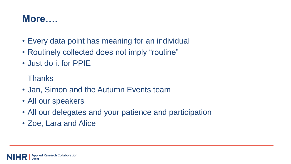#### **More….**

- Every data point has meaning for an individual
- Routinely collected does not imply "routine"
- Just do it for PPIE

Thanks

- Jan, Simon and the Autumn Events team
- All our speakers
- All our delegates and your patience and participation
- Zoe, Lara and Alice